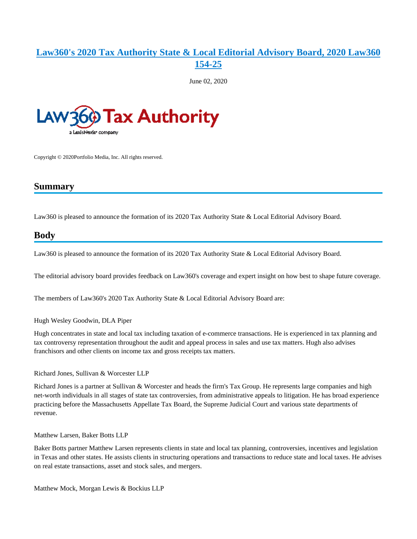## **[Law360's 2020 Tax Authority State & Local Editorial Advisory Board, 2020 Law360](https://advance.lexis.com/api/document?collection=legalnews&id=urn:contentItem:6023-KS21-JSRM-635J-00000-00&context=)  [154-25](https://advance.lexis.com/api/document?collection=legalnews&id=urn:contentItem:6023-KS21-JSRM-635J-00000-00&context=)**

June 02, 2020



Copyright © 2020Portfolio Media, Inc. All rights reserved.

## **Summary**

Law360 is pleased to announce the formation of its 2020 Tax Authority State & Local Editorial Advisory Board.

## **Body**

Law360 is pleased to announce the formation of its 2020 Tax Authority State & Local Editorial Advisory Board.

The editorial advisory board provides feedback on Law360's coverage and expert insight on how best to shape future coverage.

The members of Law360's 2020 Tax Authority State & Local Editorial Advisory Board are:

Hugh Wesley Goodwin, DLA Piper

Hugh concentrates in state and local tax including taxation of e-commerce transactions. He is experienced in tax planning and tax controversy representation throughout the audit and appeal process in sales and use tax matters. Hugh also advises franchisors and other clients on income tax and gross receipts tax matters.

Richard Jones, Sullivan & Worcester LLP

Richard Jones is a partner at Sullivan & Worcester and heads the firm's Tax Group. He represents large companies and high net-worth individuals in all stages of state tax controversies, from administrative appeals to litigation. He has broad experience practicing before the Massachusetts Appellate Tax Board, the Supreme Judicial Court and various state departments of revenue.

Matthew Larsen, Baker Botts LLP

Baker Botts partner Matthew Larsen represents clients in state and local tax planning, controversies, incentives and legislation in Texas and other states. He assists clients in structuring operations and transactions to reduce state and local taxes. He advises on real estate transactions, asset and stock sales, and mergers.

Matthew Mock, Morgan Lewis & Bockius LLP